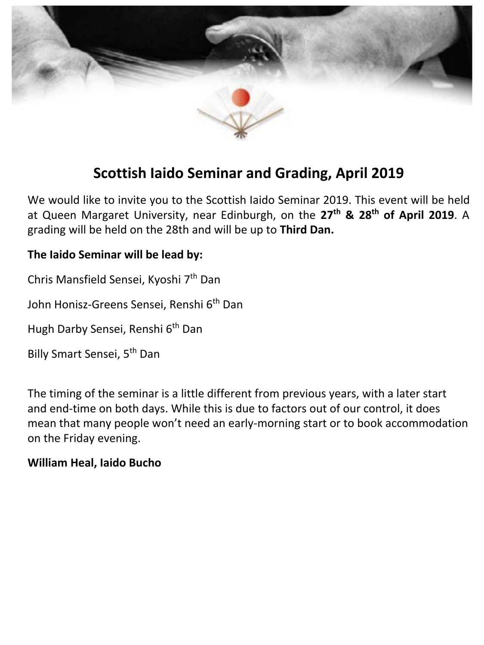

# **Scottish Iaido Seminar and Grading, April 2019**

We would like to invite you to the Scottish Iaido Seminar 2019. This event will be held at Queen Margaret University, near Edinburgh, on the **27th & 28th of April 2019**. A grading will be held on the 28th and will be up to **Third Dan.** 

### **The Iaido Seminar will be lead by:**

Chris Mansfield Sensei, Kyoshi 7<sup>th</sup> Dan

John Honisz-Greens Sensei, Renshi 6<sup>th</sup> Dan

Hugh Darby Sensei, Renshi 6<sup>th</sup> Dan

Billy Smart Sensei, 5th Dan

The timing of the seminar is a little different from previous years, with a later start and end-time on both days. While this is due to factors out of our control, it does mean that many people won't need an early-morning start or to book accommodation on the Friday evening.

### **William Heal, Iaido Bucho**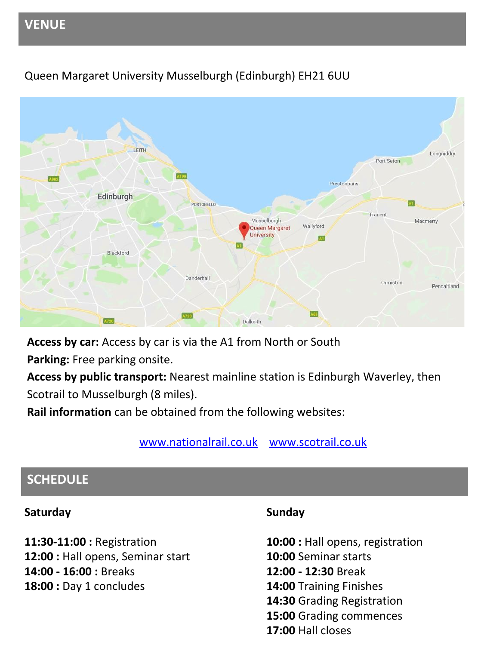# **VENUE**



## Queen Margaret University Musselburgh (Edinburgh) EH21 6UU

**Access by car:** Access by car is via the A1 from North or South

**Parking:** Free parking onsite.

**Access by public transport:** Nearest mainline station is Edinburgh Waverley, then Scotrail to Musselburgh (8 miles).

**Rail information** can be obtained from the following websites:

[www.nationalrail.co.uk](http://www.nationalrail.co.uk) [www.scotrail.co.uk](http://www.scotrail.co.uk)

## **SCHEDULE**

### **Saturday**

**11:30-11:00 :** Registration **12:00 :** Hall opens, Seminar start **14:00 - 16:00 :** Breaks **18:00 : Day 1 concludes** 

### **Sunday**

10:00 : Hall opens, registration **10:00** Seminar starts **12:00 - 12:30** Break **14:00** Training Finishes **14:30** Grading Registration **15:00** Grading commences **17:00** Hall closes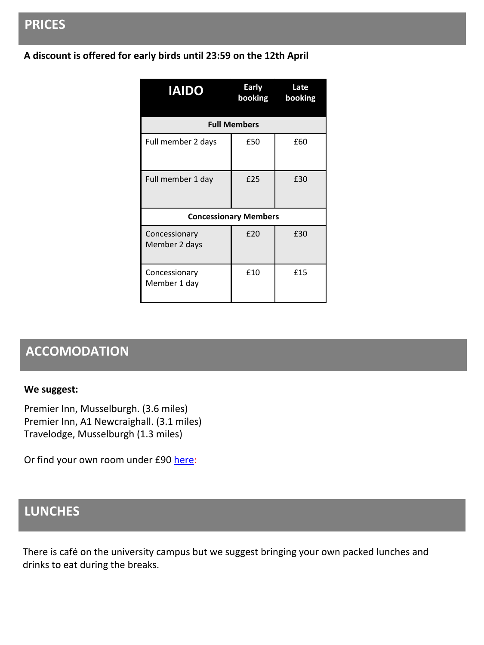## **PRICES**

### **A discount is offered for early birds until 23:59 on the 12th April**

| <b>IAIDO</b>                   | Early<br>booking | Late<br>booking |
|--------------------------------|------------------|-----------------|
| <b>Full Members</b>            |                  |                 |
| Full member 2 days             | £50              | £60             |
| Full member 1 day              | £25              | £30             |
| <b>Concessionary Members</b>   |                  |                 |
| Concessionary<br>Member 2 days | £20              | £30             |
| Concessionary<br>Member 1 day  | £10              | £15             |

# **ACCOMODATION**

#### **We suggest:**

Premier Inn, Musselburgh. (3.6 miles) Premier Inn, A1 Newcraighall. (3.1 miles) Travelodge, Musselburgh (1.3 miles)

Or find your own room under £90 [here:](https://www.google.co.uk/maps/place/Queen+Margaret+University/@55.9369084,-3.071154,13z/data=!4m15!1m9!2m8!1sHotels!3m6!1sHotels!2sQueen+Margaret+University,+Queen+Margaret+University+Way,+Musselburgh+EH21+6UU!3s0x4887b97aaa169f15:0x5a5963cfdb07ccc2!4m2!1d-3.0734503!2d55.931681!3m4!1s0x4887b97aaa169f15:0x5a5963cfdb07ccc2!8m2!3d55.931681!4d-3.0734503)

# **LUNCHES**

There is café on the university campus but we suggest bringing your own packed lunches and drinks to eat during the breaks.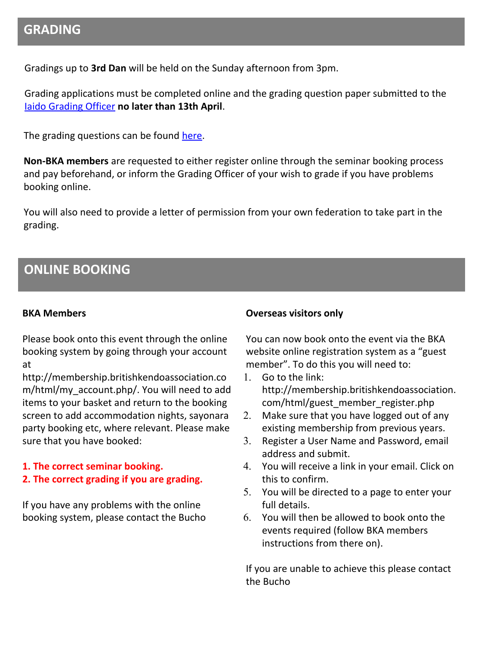### **GRADING**

Gradings up to **3rd Dan** will be held on the Sunday afternoon from 3pm.

Grading applications must be completed online and the grading question paper submitted to the [Iaido Grading Officer](mailto:iaidograding@britishkendoassociation.com) **no later than 13th April**.

The grading questions can be found [here.](http://www.britishkendoassociation.com/wp-content/uploads/2019/01/Iaido-Grading-Questions-Spring2019.pdf)

**Non-BKA members** are requested to either register online through the seminar booking process and pay beforehand, or inform the Grading Officer of your wish to grade if you have problems booking online.

You will also need to provide a letter of permission from your own federation to take part in the grading.

## **ONLINE BOOKING**

#### **BKA Members**

Please book onto this event through the online booking system by going through your account at

http://membership.britishkendoassociation.co m/html/my\_account.php/. You will need to add items to your basket and return to the booking screen to add accommodation nights, sayonara party booking etc, where relevant. Please make sure that you have booked:

#### **1. The correct seminar booking.**

### **2. The correct grading if you are grading.**

If you have any problems with the online booking system, please contact the Bucho

#### **Overseas visitors only**

You can now book onto the event via the BKA website online registration system as a "guest member". To do this you will need to:

- 1. Go to the link: http://membership.britishkendoassociation. com/html/guest\_member\_register.php
- 2. Make sure that you have logged out of any existing membership from previous years.
- 3. Register a User Name and Password, email address and submit.
- 4. You will receive a link in your email. Click on this to confirm.
- 5. You will be directed to a page to enter your full details.
- 6. You will then be allowed to book onto the events required (follow BKA members instructions from there on).

If you are unable to achieve this please contact the Bucho